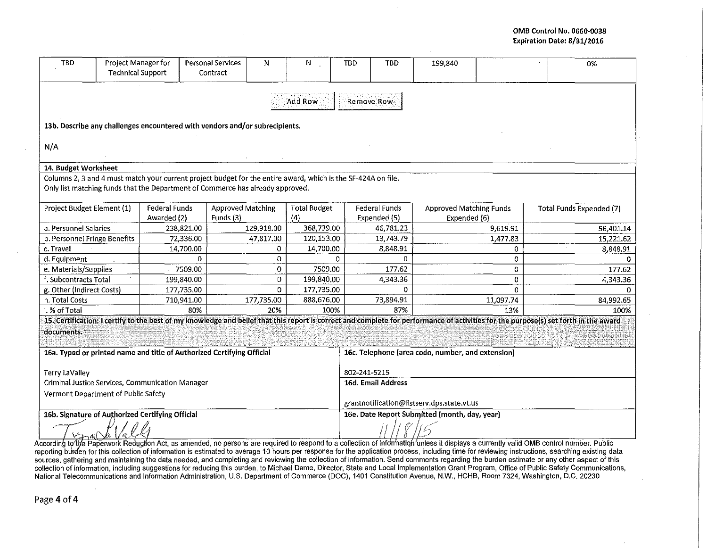## OMB Control No. 0660-0038 Expiration Date: 8/31/2016

| Project Manager for<br><b>TBD</b><br><b>Technical Support</b>               |                                     |                                                                                                               | Personal Services<br>Contract | N                       | N                   | TBD                                               | <b>TBD</b>             | 199,840                        |                      | 0%                                                                                                                                                                                   |  |  |  |
|-----------------------------------------------------------------------------|-------------------------------------|---------------------------------------------------------------------------------------------------------------|-------------------------------|-------------------------|---------------------|---------------------------------------------------|------------------------|--------------------------------|----------------------|--------------------------------------------------------------------------------------------------------------------------------------------------------------------------------------|--|--|--|
|                                                                             | Add Row<br>Remove Row               |                                                                                                               |                               |                         |                     |                                                   |                        |                                |                      |                                                                                                                                                                                      |  |  |  |
| 13b. Describe any challenges encountered with vendors and/or subrecipients. |                                     |                                                                                                               |                               |                         |                     |                                                   |                        |                                |                      |                                                                                                                                                                                      |  |  |  |
|                                                                             |                                     |                                                                                                               |                               |                         |                     |                                                   |                        |                                |                      |                                                                                                                                                                                      |  |  |  |
| N/A                                                                         |                                     |                                                                                                               |                               |                         |                     |                                                   |                        |                                |                      |                                                                                                                                                                                      |  |  |  |
| 14. Budget Worksheet                                                        |                                     |                                                                                                               |                               |                         |                     |                                                   |                        |                                |                      |                                                                                                                                                                                      |  |  |  |
|                                                                             |                                     | Columns 2, 3 and 4 must match your current project budget for the entire award, which is the SF-424A on file. |                               |                         |                     |                                                   |                        |                                |                      |                                                                                                                                                                                      |  |  |  |
|                                                                             |                                     | Only list matching funds that the Department of Commerce has already approved.                                |                               |                         |                     |                                                   |                        |                                |                      |                                                                                                                                                                                      |  |  |  |
|                                                                             |                                     |                                                                                                               |                               |                         |                     |                                                   |                        |                                |                      |                                                                                                                                                                                      |  |  |  |
| Project Budget Element (1)                                                  |                                     | Federal Funds                                                                                                 | <b>Approved Matching</b>      |                         | <b>Total Budget</b> |                                                   | Federal Funds          | <b>Approved Matching Funds</b> |                      | <b>Total Funds Expended (7)</b>                                                                                                                                                      |  |  |  |
| a. Personnel Salaries                                                       |                                     | Awarded (2)                                                                                                   | Funds (3)                     |                         | (4)<br>368,739.00   |                                                   | Expended (5)           | Expended (6)                   |                      |                                                                                                                                                                                      |  |  |  |
|                                                                             |                                     | 238,821.00<br>72,336.00                                                                                       |                               | 129,918.00<br>47,817.00 | 120,153.00          |                                                   | 46,781.23<br>13,743.79 |                                | 9,619.91<br>1,477.83 | 56,401.14<br>15,221.62                                                                                                                                                               |  |  |  |
| b. Personnel Fringe Benefits<br>c. Travel                                   |                                     | 14,700.00                                                                                                     |                               | 0                       | 14,700.00           |                                                   | 8,848.91               |                                | 0                    | 8,848.91                                                                                                                                                                             |  |  |  |
| d. Equipment                                                                |                                     | 0                                                                                                             |                               | 0                       |                     | $\Omega$                                          | 0                      |                                | 0                    |                                                                                                                                                                                      |  |  |  |
| e. Materials/Supplies                                                       |                                     | 7509.00                                                                                                       |                               | $\overline{0}$          | 7509.00             |                                                   | 177.62                 |                                | 0                    | 177.62                                                                                                                                                                               |  |  |  |
| f. Subcontracts Total                                                       |                                     | 199,840.00                                                                                                    |                               | 0                       | 199,840.00          |                                                   | 4,343.36               |                                | 0                    | 4,343.36                                                                                                                                                                             |  |  |  |
| g. Other (Indirect Costs)                                                   |                                     | 177,735.00                                                                                                    |                               | 0                       | 177,735.00          |                                                   | 0                      |                                | $\Omega$             |                                                                                                                                                                                      |  |  |  |
| h. Total Costs                                                              |                                     | 710,941.00                                                                                                    |                               | 177,735.00              | 888,676.00          |                                                   | 73,894.91              |                                | 11,097.74            | 84,992.65                                                                                                                                                                            |  |  |  |
| i. % of Total                                                               |                                     | 80%                                                                                                           |                               | 20%                     | 100%                |                                                   | 87%                    |                                | 13%                  | 100%                                                                                                                                                                                 |  |  |  |
|                                                                             |                                     |                                                                                                               |                               |                         |                     |                                                   |                        |                                |                      | 15. Certification: I certify to the best of my knowledge and belief that this report is correct and complete for performance of activities for the purpose(s) set forth in the award |  |  |  |
| documents.                                                                  |                                     |                                                                                                               |                               |                         |                     |                                                   |                        |                                |                      |                                                                                                                                                                                      |  |  |  |
|                                                                             |                                     |                                                                                                               |                               |                         |                     |                                                   |                        |                                |                      |                                                                                                                                                                                      |  |  |  |
| 16a. Typed or printed name and title of Authorized Certifying Official      |                                     |                                                                                                               |                               |                         |                     | 16c. Telephone (area code, number, and extension) |                        |                                |                      |                                                                                                                                                                                      |  |  |  |
| <b>Terry LaValley</b>                                                       |                                     |                                                                                                               |                               |                         |                     | 802-241-5215                                      |                        |                                |                      |                                                                                                                                                                                      |  |  |  |
| Criminal Justice Services, Communication Manager                            |                                     |                                                                                                               |                               |                         |                     | 16d. Email Address                                |                        |                                |                      |                                                                                                                                                                                      |  |  |  |
|                                                                             | Vermont Department of Public Safety |                                                                                                               |                               |                         |                     |                                                   |                        |                                |                      |                                                                                                                                                                                      |  |  |  |
|                                                                             |                                     |                                                                                                               |                               |                         |                     | grantnotification@listserv.dps.state.vt.us        |                        |                                |                      |                                                                                                                                                                                      |  |  |  |
| 16b. Signature of Authorized Certifying Official                            |                                     |                                                                                                               |                               |                         |                     | 16e. Date Report Submitted (month, day, year)     |                        |                                |                      |                                                                                                                                                                                      |  |  |  |
| 22mC<br>'¢°                                                                 |                                     |                                                                                                               |                               |                         |                     |                                                   |                        |                                |                      |                                                                                                                                                                                      |  |  |  |

According to the Paperwork Reduction Act, as amended, no persons are required to respond to a collection of information unless it displays a currently valid OMB control number. Public reporting burden for this collection of information is estimated to average 10 hours per response for the application process, including time for reviewing instructions, searching existing data sources, gathering and maintaining the data needed, and completing and reviewing the collection of information. Send comments regarding the burden estimate or any other aspect of this collection of information, including s National Telecommunications and Information Administration, U.S. Department of Commerce (DOC), 1401 Constitution Avenue, N.W., HCHB, Room 7324, Washington, D.C. 20230

Page 4 of 4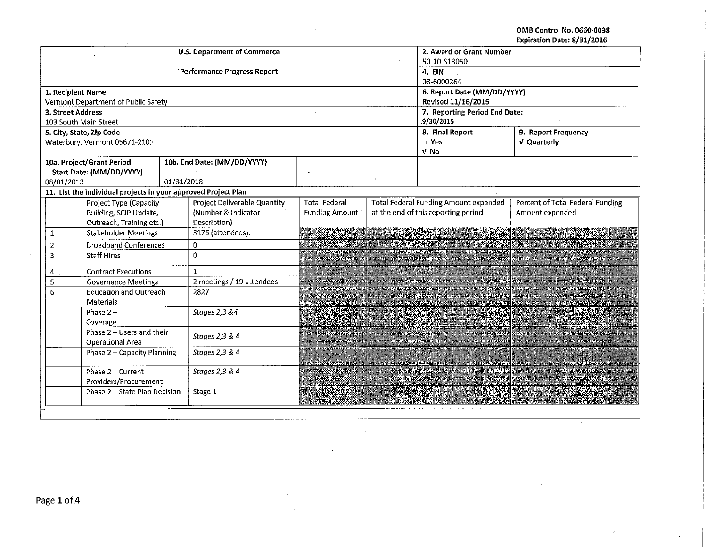OMB Control No. 0660-0038 Expiration Date: 8/31/2016

|                                    |                                                                |                                     |                | <b>U.S. Department of Commerce</b> | 2. Award or Grant Number    |                                              |                                     |                                  |  |  |  |
|------------------------------------|----------------------------------------------------------------|-------------------------------------|----------------|------------------------------------|-----------------------------|----------------------------------------------|-------------------------------------|----------------------------------|--|--|--|
|                                    |                                                                |                                     |                |                                    | 50-10-S13050                |                                              |                                     |                                  |  |  |  |
|                                    |                                                                |                                     |                | Performance Progress Report        | 4. EIN                      |                                              |                                     |                                  |  |  |  |
|                                    |                                                                |                                     |                |                                    | 03-6000264                  |                                              |                                     |                                  |  |  |  |
|                                    | 1. Recipient Name                                              |                                     |                |                                    | 6. Report Date (MM/DD/YYYY) |                                              |                                     |                                  |  |  |  |
|                                    |                                                                | Vermont Department of Public Safety |                |                                    |                             |                                              | Revised 11/16/2015                  |                                  |  |  |  |
|                                    | 3. Street Address                                              |                                     |                |                                    |                             |                                              | 7. Reporting Period End Date:       |                                  |  |  |  |
|                                    |                                                                | 103 South Main Street               |                |                                    |                             |                                              | 9/30/2015                           |                                  |  |  |  |
|                                    |                                                                | 5. City, State, Zip Code            |                |                                    |                             |                                              | 8. Final Report                     | 9. Report Frequency              |  |  |  |
|                                    |                                                                | Waterbury, Vermont 05671-2101       |                |                                    |                             |                                              | $\square$ Yes                       | V Quarterly                      |  |  |  |
|                                    |                                                                |                                     |                |                                    | V No                        |                                              |                                     |                                  |  |  |  |
|                                    |                                                                | 10a. Project/Grant Period           |                | 10b. End Date: (MM/DD/YYYY)        |                             |                                              |                                     |                                  |  |  |  |
|                                    |                                                                | Start Date: (MM/DD/YYYY)            |                |                                    |                             |                                              |                                     |                                  |  |  |  |
|                                    | 08/01/2013                                                     |                                     | 01/31/2018     |                                    |                             |                                              |                                     |                                  |  |  |  |
|                                    | 11. List the individual projects in your approved Project Plan |                                     |                |                                    |                             |                                              |                                     |                                  |  |  |  |
|                                    | Project Type (Capacity                                         |                                     |                | Project Deliverable Quantity       | <b>Total Federal</b>        | <b>Total Federal Funding Amount expended</b> |                                     | Percent of Total Federal Funding |  |  |  |
|                                    | Building, SCIP Update,<br>Outreach, Training etc.)             |                                     |                | (Number & Indicator                | <b>Funding Amount</b>       |                                              | at the end of this reporting period | Amount expended                  |  |  |  |
|                                    |                                                                |                                     |                | Description)                       |                             |                                              |                                     |                                  |  |  |  |
| $\mathbf{1}$                       |                                                                | <b>Stakeholder Meetings</b>         |                | 3176 (attendees).                  |                             |                                              |                                     |                                  |  |  |  |
|                                    | <b>Broadband Conferences</b><br>$\overline{2}$                 |                                     |                | $\mathbf{0}$                       |                             |                                              |                                     |                                  |  |  |  |
|                                    | 3<br><b>Staff Hires</b>                                        |                                     |                | $\Omega$                           |                             |                                              |                                     |                                  |  |  |  |
|                                    | <b>Contract Executions</b><br>4                                |                                     |                | $\mathbf{1}$                       |                             |                                              |                                     |                                  |  |  |  |
|                                    | 5<br><b>Governance Meetings</b>                                |                                     |                | 2 meetings / 19 attendees          |                             |                                              |                                     |                                  |  |  |  |
| <b>Education and Outreach</b><br>6 |                                                                |                                     | 2827           |                                    |                             |                                              |                                     |                                  |  |  |  |
| Materials                          |                                                                |                                     |                |                                    |                             |                                              |                                     |                                  |  |  |  |
| Phase $2-$                         |                                                                | Stages 2,3 &4                       |                |                                    |                             |                                              |                                     |                                  |  |  |  |
| Coverage                           |                                                                |                                     |                |                                    |                             |                                              |                                     |                                  |  |  |  |
| Phase 2 - Users and their          |                                                                | Stages 2,3 & 4                      |                |                                    |                             |                                              |                                     |                                  |  |  |  |
|                                    | <b>Operational Area</b>                                        |                                     |                |                                    |                             |                                              |                                     |                                  |  |  |  |
| Phase 2 - Capacity Planning        |                                                                |                                     | Stages 2,3 & 4 |                                    |                             |                                              |                                     |                                  |  |  |  |
| Phase 2 - Current                  |                                                                |                                     |                | Stages 2,3 & 4                     |                             |                                              |                                     |                                  |  |  |  |
| Providers/Procurement              |                                                                |                                     |                |                                    |                             |                                              |                                     |                                  |  |  |  |
|                                    |                                                                | Phase 2 - State Plan Decision       |                | Stage 1                            |                             |                                              |                                     |                                  |  |  |  |
|                                    |                                                                |                                     |                |                                    |                             |                                              |                                     |                                  |  |  |  |
|                                    |                                                                |                                     |                |                                    |                             |                                              |                                     |                                  |  |  |  |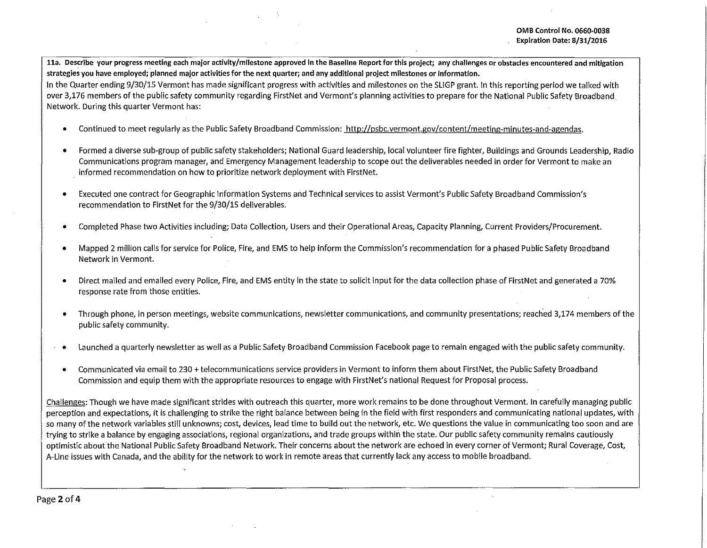11a. Describe your progress meeting each major activity/milestone approved in the Baseline Report for this project; any challenges or obstacles encountered and mitigation **strategies you have employed; planned mafor activities for the next quarter; and any additional project milestones or information.** 

In the Quarter ending 9/30/15 Vermont has made significant progress with activities and milestones on the SLIGP grant. In this reporting period we talked with over 3,176 members of the public safety community regarding FirstNet and Vermont's planning activities to prepare for the National Public Safety Broadband Network. During this quarter Vermont has:

- Continued to meet regularly as the Public Safety Broadband Commission: http://psbc.vermont.gov/content/meeting-minutes-and-agendas.
- Formed a diverse sub-group of public safety stakeholders; National Guard leadership, local volunteer fire fighter, Buildings and Grounds Leadership, Radio Communications program manager, and Emergency Management leadership to scope out the deliverables needed in order for Vermont to make an informed recommendation on how to prioritize network deployment with First Net.
- Executed one contract for Geographic Information Systems and Technical services to assist Vermont's Public Safety Broadband Commission's recommendation to FirstNet for the 9/30/15 deliverables.
- Completed Phase two Activities including; Data Collection, Users and their Operational Areas, Capacity Planning, Current Providers/Procurement.
- Mapped 2 million calls for service for Police, Fire, and EMS to help inform the Commission's recommendation for a phased Public Safety Broadband Network in Vermont.
- Direct mailed and emailed every Police, Fire, and EMS entity in the state to solicit input for the data collection phase of FirstNet and generated a 70% response rate from those entities.
- Through phone, in person meetings, website communications, newsletter communications, and community presentations; reached 3,174 members of the public safety community.
- Launched a quarterly newsletter as well as a Public Safety Broadband Commission Facebook page to remain engaged with the public safety community.
- Communicated via email to 230 +telecommunications service providers in Vermont to inform them about FirstNet, the Public Safety Broadband Commission and equip them with the appropriate resources to engage with FirstNet's national Request for Proposal process.

Challenges: Though we have made significant strides with outreach this quarter, more work remains to be done throughout Vermont. In carefully managing public perception and expectations, it is challenging to strike the right balance between being in the field with first responders and communicating national updates, with so many of the network variables still unknowns; cost, devices, lead time to build out the network, etc. We questions the value in communicating too soon and are trying to strike a balance by engaging associations, regional organizations, and trade groups within the state. Our public safety community remains cautiously optimistic about the National Public Safety Broadband Network. Their concerns about the network are echoed in every corner of Vermont; Rural Coverage, Cost, A-Line issues with Canada, and the ability for the network to work in remote areas that currently lack any access to mobile broadband.